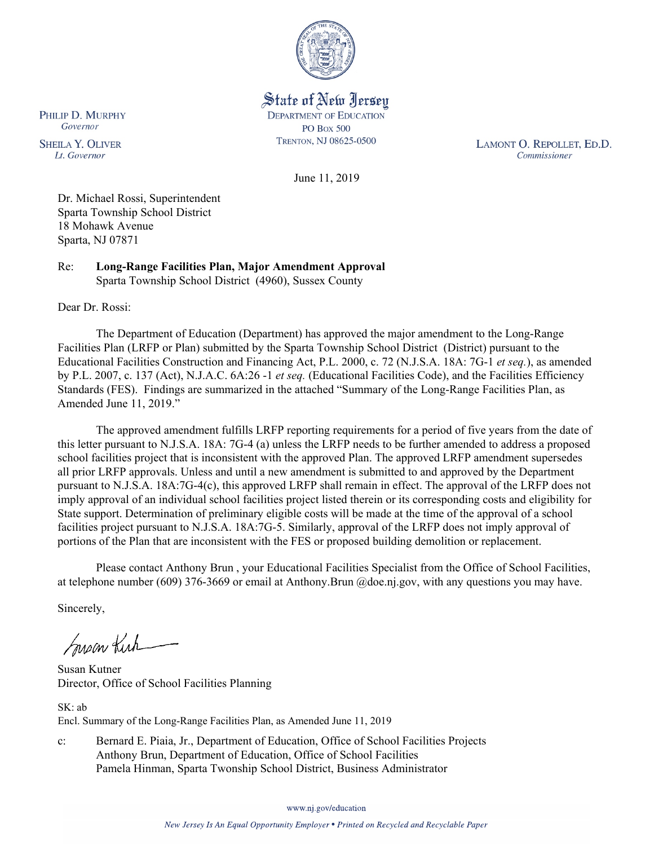

State of New Jersey **DEPARTMENT OF EDUCATION PO Box 500** TRENTON, NJ 08625-0500

LAMONT O. REPOLLET, ED.D. Commissioner

June 11, 2019

Dr. Michael Rossi, Superintendent Sparta Township School District 18 Mohawk Avenue Sparta, NJ 07871

Re: **Long-Range Facilities Plan, Major Amendment Approval** Sparta Township School District (4960), Sussex County

Dear Dr. Rossi:

The Department of Education (Department) has approved the major amendment to the Long-Range Facilities Plan (LRFP or Plan) submitted by the Sparta Township School District (District) pursuant to the Educational Facilities Construction and Financing Act, P.L. 2000, c. 72 (N.J.S.A. 18A: 7G-1 *et seq.*), as amended by P.L. 2007, c. 137 (Act), N.J.A.C. 6A:26 -1 *et seq.* (Educational Facilities Code), and the Facilities Efficiency Standards (FES). Findings are summarized in the attached "Summary of the Long-Range Facilities Plan, as Amended June 11, 2019."

The approved amendment fulfills LRFP reporting requirements for a period of five years from the date of this letter pursuant to N.J.S.A. 18A: 7G-4 (a) unless the LRFP needs to be further amended to address a proposed school facilities project that is inconsistent with the approved Plan. The approved LRFP amendment supersedes all prior LRFP approvals. Unless and until a new amendment is submitted to and approved by the Department pursuant to N.J.S.A. 18A:7G-4(c), this approved LRFP shall remain in effect. The approval of the LRFP does not imply approval of an individual school facilities project listed therein or its corresponding costs and eligibility for State support. Determination of preliminary eligible costs will be made at the time of the approval of a school facilities project pursuant to N.J.S.A. 18A:7G-5. Similarly, approval of the LRFP does not imply approval of portions of the Plan that are inconsistent with the FES or proposed building demolition or replacement.

Please contact Anthony Brun , your Educational Facilities Specialist from the Office of School Facilities, at telephone number (609) 376-3669 or email at Anthony.Brun @doe.nj.gov, with any questions you may have.

Sincerely,

Susan Kich

Susan Kutner Director, Office of School Facilities Planning

SK: ab Encl. Summary of the Long-Range Facilities Plan, as Amended June 11, 2019

c: Bernard E. Piaia, Jr., Department of Education, Office of School Facilities Projects Anthony Brun, Department of Education, Office of School Facilities Pamela Hinman, Sparta Twonship School District, Business Administrator

www.nj.gov/education

PHILIP D. MURPHY Governor

**SHEILA Y. OLIVER** Lt. Governor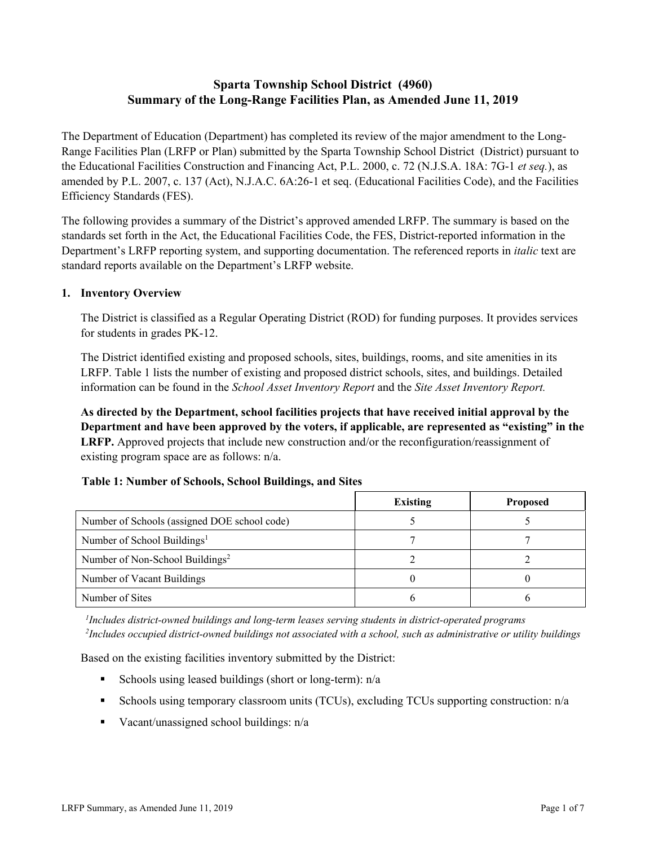# **Sparta Township School District (4960) Summary of the Long-Range Facilities Plan, as Amended June 11, 2019**

The Department of Education (Department) has completed its review of the major amendment to the Long-Range Facilities Plan (LRFP or Plan) submitted by the Sparta Township School District (District) pursuant to the Educational Facilities Construction and Financing Act, P.L. 2000, c. 72 (N.J.S.A. 18A: 7G-1 *et seq.*), as amended by P.L. 2007, c. 137 (Act), N.J.A.C. 6A:26-1 et seq. (Educational Facilities Code), and the Facilities Efficiency Standards (FES).

The following provides a summary of the District's approved amended LRFP. The summary is based on the standards set forth in the Act, the Educational Facilities Code, the FES, District-reported information in the Department's LRFP reporting system, and supporting documentation. The referenced reports in *italic* text are standard reports available on the Department's LRFP website.

#### **1. Inventory Overview**

The District is classified as a Regular Operating District (ROD) for funding purposes. It provides services for students in grades PK-12.

The District identified existing and proposed schools, sites, buildings, rooms, and site amenities in its LRFP. Table 1 lists the number of existing and proposed district schools, sites, and buildings. Detailed information can be found in the *School Asset Inventory Report* and the *Site Asset Inventory Report.*

**As directed by the Department, school facilities projects that have received initial approval by the Department and have been approved by the voters, if applicable, are represented as "existing" in the LRFP.** Approved projects that include new construction and/or the reconfiguration/reassignment of existing program space are as follows: n/a.

#### **Table 1: Number of Schools, School Buildings, and Sites**

|                                              | <b>Existing</b> | <b>Proposed</b> |
|----------------------------------------------|-----------------|-----------------|
| Number of Schools (assigned DOE school code) |                 |                 |
| Number of School Buildings <sup>1</sup>      |                 |                 |
| Number of Non-School Buildings <sup>2</sup>  |                 |                 |
| Number of Vacant Buildings                   |                 |                 |
| Number of Sites                              |                 |                 |

*1 Includes district-owned buildings and long-term leases serving students in district-operated programs 2 Includes occupied district-owned buildings not associated with a school, such as administrative or utility buildings*

Based on the existing facilities inventory submitted by the District:

- Schools using leased buildings (short or long-term):  $n/a$
- Schools using temporary classroom units (TCUs), excluding TCUs supporting construction: n/a
- Vacant/unassigned school buildings:  $n/a$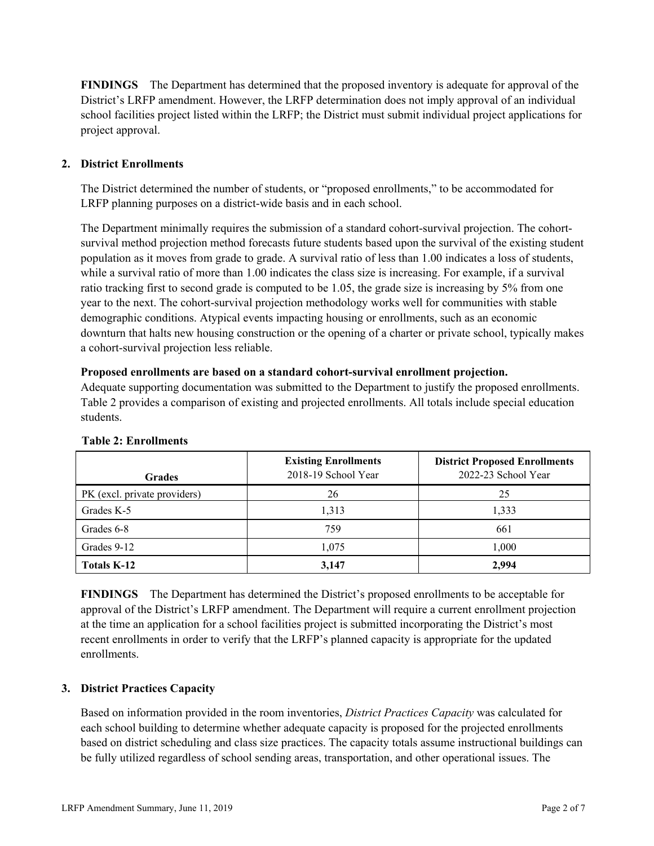**FINDINGS** The Department has determined that the proposed inventory is adequate for approval of the District's LRFP amendment. However, the LRFP determination does not imply approval of an individual school facilities project listed within the LRFP; the District must submit individual project applications for project approval.

# **2. District Enrollments**

The District determined the number of students, or "proposed enrollments," to be accommodated for LRFP planning purposes on a district-wide basis and in each school.

The Department minimally requires the submission of a standard cohort-survival projection. The cohortsurvival method projection method forecasts future students based upon the survival of the existing student population as it moves from grade to grade. A survival ratio of less than 1.00 indicates a loss of students, while a survival ratio of more than 1.00 indicates the class size is increasing. For example, if a survival ratio tracking first to second grade is computed to be 1.05, the grade size is increasing by 5% from one year to the next. The cohort-survival projection methodology works well for communities with stable demographic conditions. Atypical events impacting housing or enrollments, such as an economic downturn that halts new housing construction or the opening of a charter or private school, typically makes a cohort-survival projection less reliable.

#### **Proposed enrollments are based on a standard cohort-survival enrollment projection.**

Adequate supporting documentation was submitted to the Department to justify the proposed enrollments. Table 2 provides a comparison of existing and projected enrollments. All totals include special education students.

| <b>Grades</b>                | <b>Existing Enrollments</b><br>2018-19 School Year | <b>District Proposed Enrollments</b><br>2022-23 School Year |
|------------------------------|----------------------------------------------------|-------------------------------------------------------------|
| PK (excl. private providers) | 26                                                 | 25                                                          |
| Grades K-5                   | 1,313                                              | 1,333                                                       |
| Grades 6-8                   | 759                                                | 661                                                         |
| Grades 9-12                  | 1.075                                              | 1.000                                                       |
| Totals K-12                  | 3.147                                              | 2.994                                                       |

#### **Table 2: Enrollments**

**FINDINGS** The Department has determined the District's proposed enrollments to be acceptable for approval of the District's LRFP amendment. The Department will require a current enrollment projection at the time an application for a school facilities project is submitted incorporating the District's most recent enrollments in order to verify that the LRFP's planned capacity is appropriate for the updated enrollments.

# **3. District Practices Capacity**

Based on information provided in the room inventories, *District Practices Capacity* was calculated for each school building to determine whether adequate capacity is proposed for the projected enrollments based on district scheduling and class size practices. The capacity totals assume instructional buildings can be fully utilized regardless of school sending areas, transportation, and other operational issues. The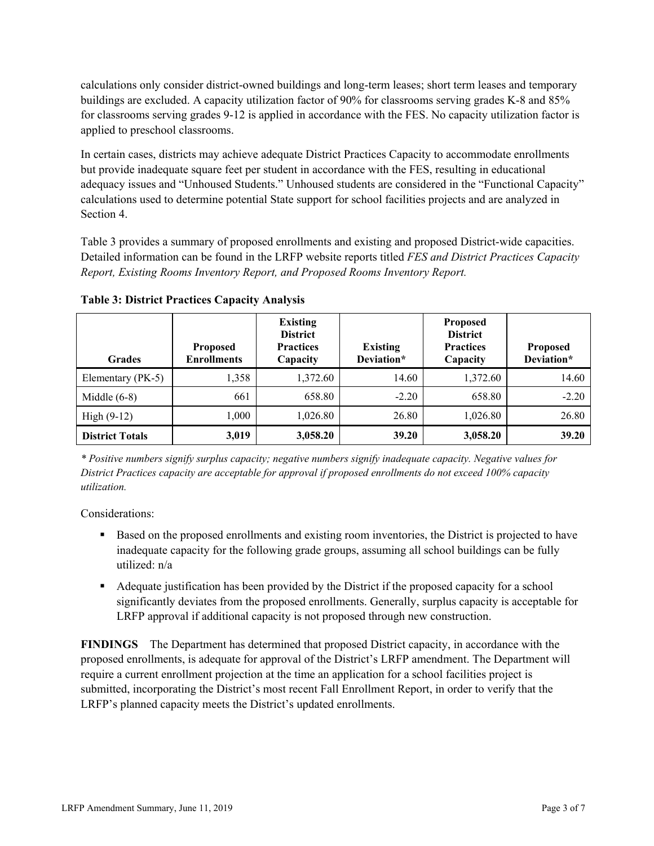calculations only consider district-owned buildings and long-term leases; short term leases and temporary buildings are excluded. A capacity utilization factor of 90% for classrooms serving grades K-8 and 85% for classrooms serving grades 9-12 is applied in accordance with the FES. No capacity utilization factor is applied to preschool classrooms.

In certain cases, districts may achieve adequate District Practices Capacity to accommodate enrollments but provide inadequate square feet per student in accordance with the FES, resulting in educational adequacy issues and "Unhoused Students." Unhoused students are considered in the "Functional Capacity" calculations used to determine potential State support for school facilities projects and are analyzed in Section 4.

Table 3 provides a summary of proposed enrollments and existing and proposed District-wide capacities. Detailed information can be found in the LRFP website reports titled *FES and District Practices Capacity Report, Existing Rooms Inventory Report, and Proposed Rooms Inventory Report.*

| <b>Grades</b>          | <b>Proposed</b><br><b>Enrollments</b> | <b>Existing</b><br><b>District</b><br><b>Practices</b><br>Capacity | <b>Existing</b><br>Deviation* | <b>Proposed</b><br><b>District</b><br><b>Practices</b><br>Capacity | <b>Proposed</b><br>Deviation* |
|------------------------|---------------------------------------|--------------------------------------------------------------------|-------------------------------|--------------------------------------------------------------------|-------------------------------|
| Elementary (PK-5)      | 1,358                                 | 1,372.60                                                           | 14.60                         | 1,372.60                                                           | 14.60                         |
| Middle $(6-8)$         | 661                                   | 658.80                                                             | $-2.20$                       | 658.80                                                             | $-2.20$                       |
| High $(9-12)$          | 1.000                                 | 1,026.80                                                           | 26.80                         | 1,026.80                                                           | 26.80                         |
| <b>District Totals</b> | 3,019                                 | 3,058.20                                                           | 39.20                         | 3,058.20                                                           | 39.20                         |

**Table 3: District Practices Capacity Analysis**

*\* Positive numbers signify surplus capacity; negative numbers signify inadequate capacity. Negative values for District Practices capacity are acceptable for approval if proposed enrollments do not exceed 100% capacity utilization.*

Considerations:

- Based on the proposed enrollments and existing room inventories, the District is projected to have inadequate capacity for the following grade groups, assuming all school buildings can be fully utilized: n/a
- Adequate justification has been provided by the District if the proposed capacity for a school significantly deviates from the proposed enrollments. Generally, surplus capacity is acceptable for LRFP approval if additional capacity is not proposed through new construction.

**FINDINGS**The Department has determined that proposed District capacity, in accordance with the proposed enrollments, is adequate for approval of the District's LRFP amendment. The Department will require a current enrollment projection at the time an application for a school facilities project is submitted, incorporating the District's most recent Fall Enrollment Report, in order to verify that the LRFP's planned capacity meets the District's updated enrollments.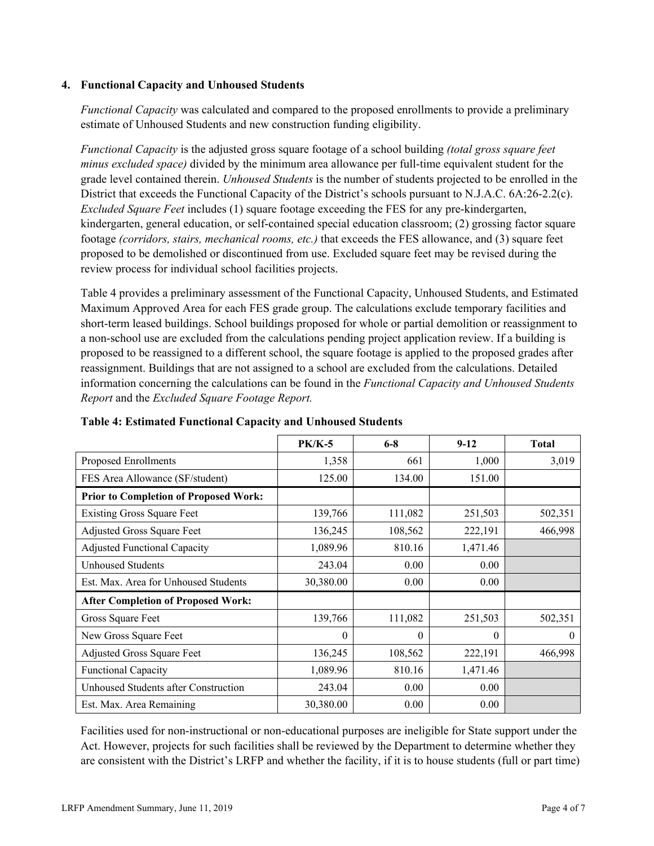#### **4. Functional Capacity and Unhoused Students**

*Functional Capacity* was calculated and compared to the proposed enrollments to provide a preliminary estimate of Unhoused Students and new construction funding eligibility.

*Functional Capacity* is the adjusted gross square footage of a school building *(total gross square feet minus excluded space)* divided by the minimum area allowance per full-time equivalent student for the grade level contained therein. *Unhoused Students* is the number of students projected to be enrolled in the District that exceeds the Functional Capacity of the District's schools pursuant to N.J.A.C. 6A:26-2.2(c). *Excluded Square Feet* includes (1) square footage exceeding the FES for any pre-kindergarten, kindergarten, general education, or self-contained special education classroom; (2) grossing factor square footage *(corridors, stairs, mechanical rooms, etc.)* that exceeds the FES allowance, and (3) square feet proposed to be demolished or discontinued from use. Excluded square feet may be revised during the review process for individual school facilities projects.

Table 4 provides a preliminary assessment of the Functional Capacity, Unhoused Students, and Estimated Maximum Approved Area for each FES grade group. The calculations exclude temporary facilities and short-term leased buildings. School buildings proposed for whole or partial demolition or reassignment to a non-school use are excluded from the calculations pending project application review. If a building is proposed to be reassigned to a different school, the square footage is applied to the proposed grades after reassignment. Buildings that are not assigned to a school are excluded from the calculations. Detailed information concerning the calculations can be found in the *Functional Capacity and Unhoused Students Report* and the *Excluded Square Footage Report.*

|                                              | <b>PK/K-5</b> | $6 - 8$ | $9-12$   | <b>Total</b> |
|----------------------------------------------|---------------|---------|----------|--------------|
| Proposed Enrollments                         | 1,358         | 661     | 1,000    | 3,019        |
| FES Area Allowance (SF/student)              | 125.00        | 134.00  | 151.00   |              |
| <b>Prior to Completion of Proposed Work:</b> |               |         |          |              |
| <b>Existing Gross Square Feet</b>            | 139,766       | 111,082 | 251,503  | 502,351      |
| <b>Adjusted Gross Square Feet</b>            | 136,245       | 108,562 | 222,191  | 466,998      |
| <b>Adjusted Functional Capacity</b>          | 1,089.96      | 810.16  | 1,471.46 |              |
| <b>Unhoused Students</b>                     | 243.04        | 0.00    | 0.00     |              |
| Est. Max. Area for Unhoused Students         | 30,380.00     | 0.00    | 0.00     |              |
| <b>After Completion of Proposed Work:</b>    |               |         |          |              |
| Gross Square Feet                            | 139,766       | 111,082 | 251,503  | 502,351      |
| New Gross Square Feet                        | $\Omega$      | 0       | 0        | $\theta$     |
| <b>Adjusted Gross Square Feet</b>            | 136,245       | 108,562 | 222,191  | 466,998      |
| <b>Functional Capacity</b>                   | 1,089.96      | 810.16  | 1,471.46 |              |
| Unhoused Students after Construction         | 243.04        | 0.00    | 0.00     |              |
| Est. Max. Area Remaining                     | 30,380.00     | 0.00    | 0.00     |              |

**Table 4: Estimated Functional Capacity and Unhoused Students** 

Facilities used for non-instructional or non-educational purposes are ineligible for State support under the Act. However, projects for such facilities shall be reviewed by the Department to determine whether they are consistent with the District's LRFP and whether the facility, if it is to house students (full or part time)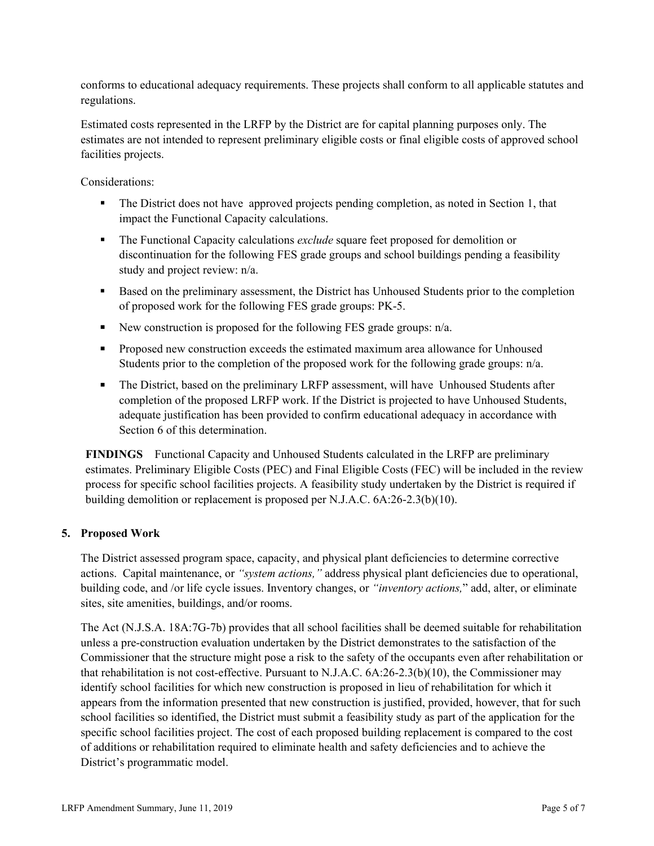conforms to educational adequacy requirements. These projects shall conform to all applicable statutes and regulations.

Estimated costs represented in the LRFP by the District are for capital planning purposes only. The estimates are not intended to represent preliminary eligible costs or final eligible costs of approved school facilities projects.

Considerations:

- The District does not have approved projects pending completion, as noted in Section 1, that impact the Functional Capacity calculations.
- **The Functional Capacity calculations** *exclude* square feet proposed for demolition or discontinuation for the following FES grade groups and school buildings pending a feasibility study and project review: n/a.
- Based on the preliminary assessment, the District has Unhoused Students prior to the completion of proposed work for the following FES grade groups: PK-5.
- New construction is proposed for the following FES grade groups:  $n/a$ .
- **Proposed new construction exceeds the estimated maximum area allowance for Unhoused** Students prior to the completion of the proposed work for the following grade groups: n/a.
- The District, based on the preliminary LRFP assessment, will have Unhoused Students after completion of the proposed LRFP work. If the District is projected to have Unhoused Students, adequate justification has been provided to confirm educational adequacy in accordance with Section 6 of this determination.

**FINDINGS** Functional Capacity and Unhoused Students calculated in the LRFP are preliminary estimates. Preliminary Eligible Costs (PEC) and Final Eligible Costs (FEC) will be included in the review process for specific school facilities projects. A feasibility study undertaken by the District is required if building demolition or replacement is proposed per N.J.A.C. 6A:26-2.3(b)(10).

# **5. Proposed Work**

The District assessed program space, capacity, and physical plant deficiencies to determine corrective actions. Capital maintenance, or *"system actions,"* address physical plant deficiencies due to operational, building code, and /or life cycle issues. Inventory changes, or *"inventory actions,*" add, alter, or eliminate sites, site amenities, buildings, and/or rooms.

The Act (N.J.S.A. 18A:7G-7b) provides that all school facilities shall be deemed suitable for rehabilitation unless a pre-construction evaluation undertaken by the District demonstrates to the satisfaction of the Commissioner that the structure might pose a risk to the safety of the occupants even after rehabilitation or that rehabilitation is not cost-effective. Pursuant to N.J.A.C. 6A:26-2.3(b)(10), the Commissioner may identify school facilities for which new construction is proposed in lieu of rehabilitation for which it appears from the information presented that new construction is justified, provided, however, that for such school facilities so identified, the District must submit a feasibility study as part of the application for the specific school facilities project. The cost of each proposed building replacement is compared to the cost of additions or rehabilitation required to eliminate health and safety deficiencies and to achieve the District's programmatic model.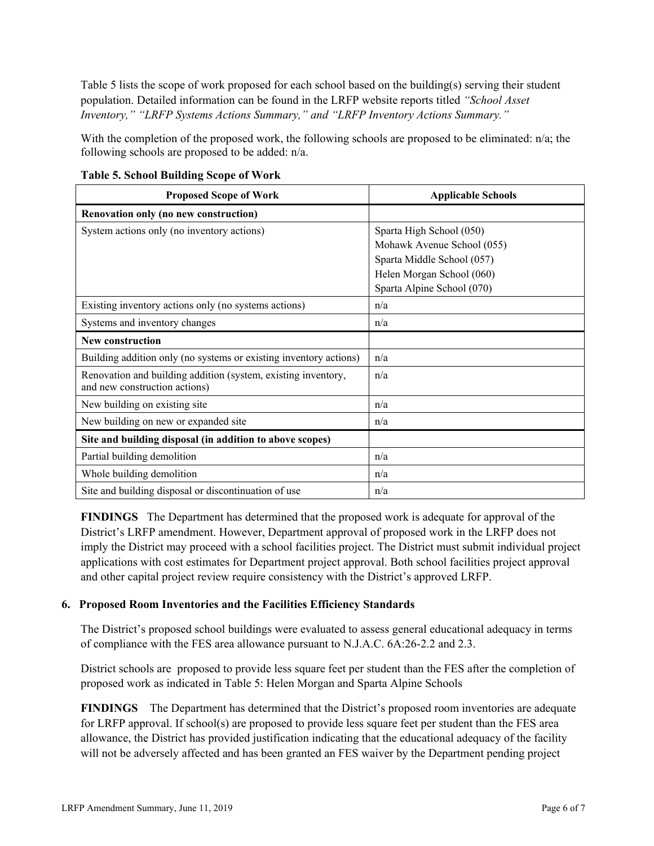Table 5 lists the scope of work proposed for each school based on the building(s) serving their student population. Detailed information can be found in the LRFP website reports titled *"School Asset Inventory," "LRFP Systems Actions Summary," and "LRFP Inventory Actions Summary."*

With the completion of the proposed work, the following schools are proposed to be eliminated: n/a; the following schools are proposed to be added: n/a.

| <b>Proposed Scope of Work</b>                                                                  | <b>Applicable Schools</b>  |
|------------------------------------------------------------------------------------------------|----------------------------|
| Renovation only (no new construction)                                                          |                            |
| System actions only (no inventory actions)                                                     | Sparta High School (050)   |
|                                                                                                | Mohawk Avenue School (055) |
|                                                                                                | Sparta Middle School (057) |
|                                                                                                | Helen Morgan School (060)  |
|                                                                                                | Sparta Alpine School (070) |
| Existing inventory actions only (no systems actions)                                           | n/a                        |
| Systems and inventory changes                                                                  | n/a                        |
| New construction                                                                               |                            |
| Building addition only (no systems or existing inventory actions)                              | n/a                        |
| Renovation and building addition (system, existing inventory,<br>and new construction actions) | n/a                        |
| New building on existing site                                                                  | n/a                        |
| New building on new or expanded site                                                           | n/a                        |
| Site and building disposal (in addition to above scopes)                                       |                            |
| Partial building demolition                                                                    | n/a                        |
| Whole building demolition                                                                      | n/a                        |
| Site and building disposal or discontinuation of use                                           | n/a                        |

**Table 5. School Building Scope of Work**

**FINDINGS** The Department has determined that the proposed work is adequate for approval of the District's LRFP amendment. However, Department approval of proposed work in the LRFP does not imply the District may proceed with a school facilities project. The District must submit individual project applications with cost estimates for Department project approval. Both school facilities project approval and other capital project review require consistency with the District's approved LRFP.

# **6. Proposed Room Inventories and the Facilities Efficiency Standards**

The District's proposed school buildings were evaluated to assess general educational adequacy in terms of compliance with the FES area allowance pursuant to N.J.A.C. 6A:26-2.2 and 2.3.

District schools are proposed to provide less square feet per student than the FES after the completion of proposed work as indicated in Table 5: Helen Morgan and Sparta Alpine Schools

**FINDINGS** The Department has determined that the District's proposed room inventories are adequate for LRFP approval. If school(s) are proposed to provide less square feet per student than the FES area allowance, the District has provided justification indicating that the educational adequacy of the facility will not be adversely affected and has been granted an FES waiver by the Department pending project